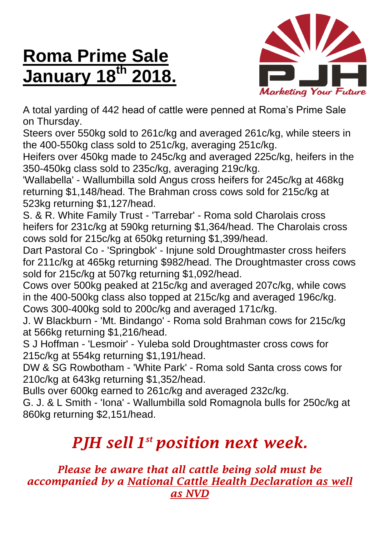## **Roma Prime Sale January 18 th 2018.**



A total yarding of 442 head of cattle were penned at Roma's Prime Sale on Thursday.

Steers over 550kg sold to 261c/kg and averaged 261c/kg, while steers in the 400-550kg class sold to 251c/kg, averaging 251c/kg.

Heifers over 450kg made to 245c/kg and averaged 225c/kg, heifers in the 350-450kg class sold to 235c/kg, averaging 219c/kg.

'Wallabella' - Wallumbilla sold Angus cross heifers for 245c/kg at 468kg returning \$1,148/head. The Brahman cross cows sold for 215c/kg at 523kg returning \$1,127/head.

S. & R. White Family Trust - 'Tarrebar' - Roma sold Charolais cross heifers for 231c/kg at 590kg returning \$1,364/head. The Charolais cross cows sold for 215c/kg at 650kg returning \$1,399/head.

Dart Pastoral Co - 'Springbok' - Injune sold Droughtmaster cross heifers for 211c/kg at 465kg returning \$982/head. The Droughtmaster cross cows sold for 215c/kg at 507kg returning \$1,092/head.

Cows over 500kg peaked at 215c/kg and averaged 207c/kg, while cows in the 400-500kg class also topped at 215c/kg and averaged 196c/kg. Cows 300-400kg sold to 200c/kg and averaged 171c/kg.

J. W Blackburn - 'Mt. Bindango' - Roma sold Brahman cows for 215c/kg at 566kg returning \$1,216/head.

S J Hoffman - 'Lesmoir' - Yuleba sold Droughtmaster cross cows for 215c/kg at 554kg returning \$1,191/head.

DW & SG Rowbotham - 'White Park' - Roma sold Santa cross cows for 210c/kg at 643kg returning \$1,352/head.

Bulls over 600kg earned to 261c/kg and averaged 232c/kg.

G. J. & L Smith - 'Iona' - Wallumbilla sold Romagnola bulls for 250c/kg at 860kg returning \$2,151/head.

## *PJH sell 1 st position next week.*

*Please be aware that all cattle being sold must be accompanied by a National Cattle Health Declaration as well as NVD*